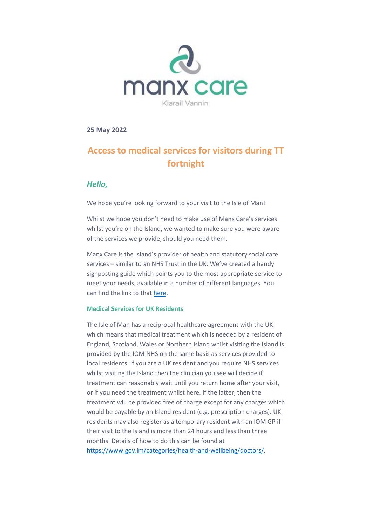

**25 May 2022**

# **Access to medical services for visitors during TT fortnight**

## *Hello,*

We hope you're looking forward to your visit to the Isle of Man!

Whilst we hope you don't need to make use of Manx Care's services whilst you're on the Island, we wanted to make sure you were aware of the services we provide, should you need them.

Manx Care is the Island's provider of health and statutory social care services – similar to an NHS Trust in the UK. We've created a handy signposting guide which points you to the most appropriate service to meet your needs, available in a number of different languages. You can find the link to tha[t here.](https://www.gov.im/categories/health-and-wellbeing/signposting/)

### **Medical Services for UK Residents**

The Isle of Man has a reciprocal healthcare agreement with the UK which means that medical treatment which is needed by a resident of England, Scotland, Wales or Northern Island whilst visiting the Island is provided by the IOM NHS on the same basis as services provided to local residents. If you are a UK resident and you require NHS services whilst visiting the Island then the clinician you see will decide if treatment can reasonably wait until you return home after your visit, or if you need the treatment whilst here. If the latter, then the treatment will be provided free of charge except for any charges which would be payable by an Island resident (e.g. prescription charges). UK residents may also register as a temporary resident with an IOM GP if their visit to the Island is more than 24 hours and less than three months. Details of how to do this can be found at [https://www.gov.im/categories/health-and-wellbeing/doctors/.](https://www.gov.im/categories/health-and-wellbeing/doctors/)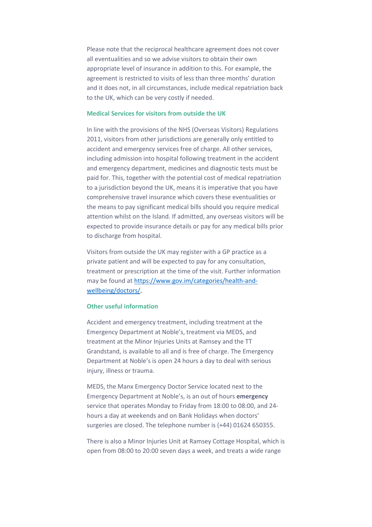Please note that the reciprocal healthcare agreement does not cover all eventualities and so we advise visitors to obtain their own appropriate level of insurance in addition to this. For example, the agreement is restricted to visits of less than three months' duration and it does not, in all circumstances, include medical repatriation back to the UK, which can be very costly if needed.

### **Medical Services for visitors from outside the UK**

In line with the provisions of the NHS (Overseas Visitors) Regulations 2011, visitors from other jurisdictions are generally only entitled to accident and emergency services free of charge. All other services, including admission into hospital following treatment in the accident and emergency department, medicines and diagnostic tests must be paid for. This, together with the potential cost of medical repatriation to a jurisdiction beyond the UK, means it is imperative that you have comprehensive travel insurance which covers these eventualities or the means to pay significant medical bills should you require medical attention whilst on the Island. If admitted, any overseas visitors will be expected to provide insurance details or pay for any medical bills prior to discharge from hospital.

Visitors from outside the UK may register with a GP practice as a private patient and will be expected to pay for any consultation, treatment or prescription at the time of the visit. Further information may be found a[t https://www.gov.im/categories/health-and](https://www.gov.im/categories/health-and-wellbeing/doctors/)[wellbeing/doctors/.](https://www.gov.im/categories/health-and-wellbeing/doctors/)

### **Other useful information**

Accident and emergency treatment, including treatment at the Emergency Department at Noble's, treatment via MEDS, and treatment at the Minor Injuries Units at Ramsey and the TT Grandstand, is available to all and is free of charge. The Emergency Department at Noble's is open 24 hours a day to deal with serious injury, illness or trauma.

MEDS, the Manx Emergency Doctor Service located next to the Emergency Department at Noble's, is an out of hours **emergency** service that operates Monday to Friday from 18:00 to 08:00, and 24 hours a day at weekends and on Bank Holidays when doctors' surgeries are closed. The telephone number is (+44) 01624 650355.

There is also a Minor Injuries Unit at Ramsey Cottage Hospital, which is open from 08:00 to 20:00 seven days a week, and treats a wide range